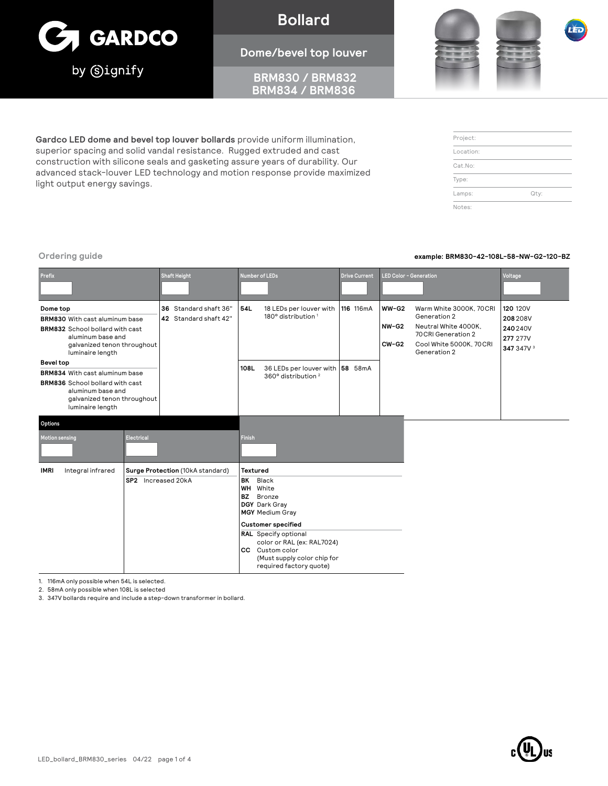

**Bollard**

#### **Dome/bevel top louver**

 **BRM830 / BRM832 BRM834 / BRM836**

**Gardco LED dome and bevel top louver bollards** provide uniform illumination, superior spacing and solid vandal resistance. Rugged extruded and cast construction with silicone seals and gasketing assure years of durability. Our advanced stack-louver LED technology and motion response provide maximized light output energy savings.

**Ordering guide example: BRM830-42-108L-58-NW-G2-120-BZ**

| Prefix                                                                                                                                                               |                                                        | <b>Shaft Height</b>                            | <b>Number of LEDs</b>                                                                                                                                                                                                                                           |                                                                   | <b>Drive Current</b> |                             | LED Color - Generation                                                                                                            | Voltage                                                                               |
|----------------------------------------------------------------------------------------------------------------------------------------------------------------------|--------------------------------------------------------|------------------------------------------------|-----------------------------------------------------------------------------------------------------------------------------------------------------------------------------------------------------------------------------------------------------------------|-------------------------------------------------------------------|----------------------|-----------------------------|-----------------------------------------------------------------------------------------------------------------------------------|---------------------------------------------------------------------------------------|
| Dome top<br><b>BRM830</b> With cast aluminum base<br><b>BRM832</b> School bollard with cast<br>aluminum base and<br>galvanized tenon throughout<br>luminaire length  |                                                        | 36 Standard shaft 36"<br>42 Standard shaft 42" | 54L                                                                                                                                                                                                                                                             | 18 LEDs per louver with<br>180° distribution <sup>1</sup>         | 116 116mA            | $WW-G2$<br>NW-G2<br>$CW-G2$ | Warm White 3000K, 70CRI<br>Generation 2<br>Neutral White 4000K,<br>70 CRI Generation 2<br>Cool White 5000K, 70CRI<br>Generation 2 | <b>120 120V</b><br>208 208 V<br>240 240 V<br><b>277 277V</b><br>347 347V <sup>3</sup> |
| <b>Bevel top</b><br>BRM834 With cast aluminum base<br><b>BRM836</b> School bollard with cast<br>aluminum base and<br>galvanized tenon throughout<br>luminaire length |                                                        |                                                | 108L                                                                                                                                                                                                                                                            | 36 LEDs per louver with 58 58mA<br>360° distribution <sup>2</sup> |                      |                             |                                                                                                                                   |                                                                                       |
| Options<br><b>Motion sensing</b>                                                                                                                                     | Electrical                                             |                                                | <b>Finish</b>                                                                                                                                                                                                                                                   |                                                                   |                      |                             |                                                                                                                                   |                                                                                       |
| Integral infrared<br><b>IMRI</b>                                                                                                                                     | Surge Protection (10kA standard)<br>SP2 Increased 20kA |                                                | <b>Textured</b><br>BK<br>Black<br>White<br>WH<br><b>BZ</b><br>Bronze<br>DGY Dark Gray<br><b>MGY</b> Medium Gray<br><b>Customer specified</b><br><b>RAL</b> Specify optional<br>color or RAL (ex: RAL7024)<br>Custom color<br>CC.<br>(Must supply color chip for |                                                                   |                      |                             |                                                                                                                                   |                                                                                       |

required factory quote)

1. 116mA only possible when 54L is selected.

2. 58mA only possible when 108L is selected

3. 347V bollards require and include a step-down transformer in bollard.





| Project:  |      |
|-----------|------|
| Location: |      |
| Cat.No:   |      |
| Type:     |      |
| Lamps:    | Qty: |
| Notes:    |      |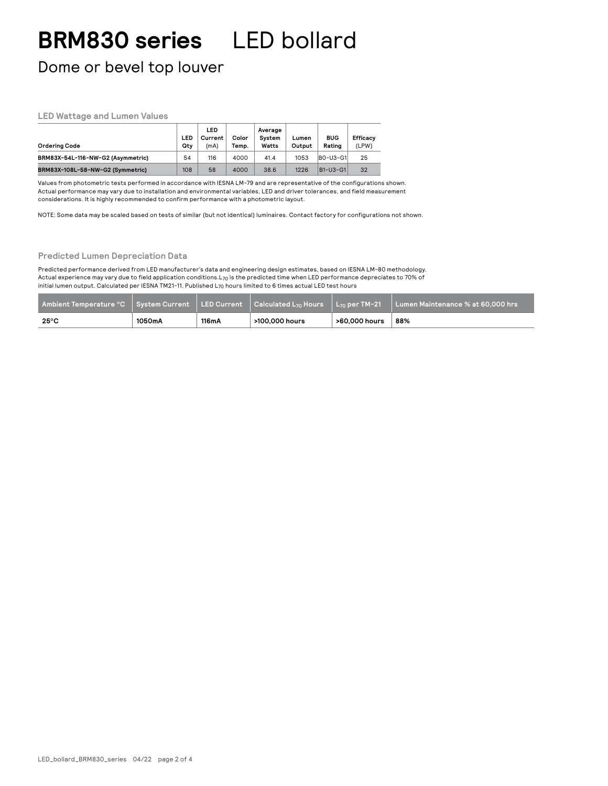## **BRM830 series** LED bollard

Dome or bevel top louver

#### **LED Wattage and Lumen Values**

| Ordering Code                     | LED<br>Qtv | LED<br>Current<br>(mA) | Color<br>Temp. | Average<br>System<br>Watts | Lumen<br>Output | <b>BUG</b><br>Rating | Efficacy<br>(LPW) |
|-----------------------------------|------------|------------------------|----------------|----------------------------|-----------------|----------------------|-------------------|
| BRM83X-54L-116-NW-G2 (Asymmetric) | 54         | 116                    | 4000           | 41.4                       | 1053            | <b>BO-U3-G1</b>      | 25                |
| BRM83X-108L-58-NW-G2 (Symmetric)  | 108        | 58                     | 4000           | 38.6                       | 1226            | B1-U3-G1             | 32                |

Values from photometric tests performed in accordance with IESNA LM-79 and are representative of the configurations shown. Actual performance may vary due to installation and environmental variables, LED and driver tolerances, and field measurement considerations. It is highly recommended to confirm performance with a photometric layout.

NOTE: Some data may be scaled based on tests of similar (but not identical) luminaires. Contact factory for configurations not shown.

#### **Predicted Lumen Depreciation Data**

Predicted performance derived from LED manufacturer's data and engineering design estimates, based on IESNA LM-80 methodology. Actual experience may vary due to field application conditions.L70 is the predicted time when LED performance depreciates to 70% of initial lumen output. Calculated per IESNA TM21-11. Published L70 hours limited to 6 times actual LED test hours

| Ambient Temperature °C System Current LED Current Calculated L <sub>70</sub> Hours L <sub>70</sub> per TM-21 |        |       |                |               | Lumen Maintenance % at 60,000 hrs |
|--------------------------------------------------------------------------------------------------------------|--------|-------|----------------|---------------|-----------------------------------|
| $25^{\circ}$ C                                                                                               | 1050mA | 116mA | >100,000 hours | >60.000 hours | 88%                               |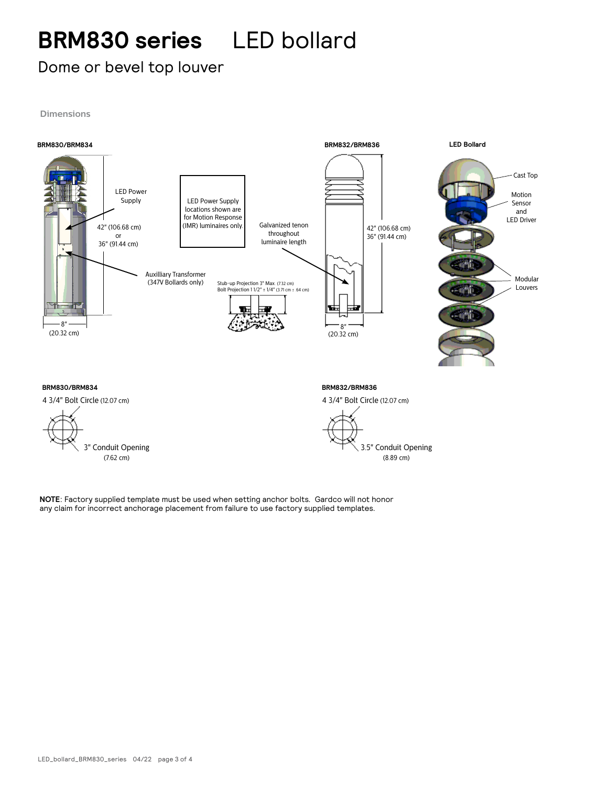## **BRM830 series** LED bollard

### Dome or bevel top louver

**Dimensions**



**NOTE**: Factory supplied template must be used when setting anchor bolts. Gardco will not honor any claim for incorrect anchorage placement from failure to use factory supplied templates.